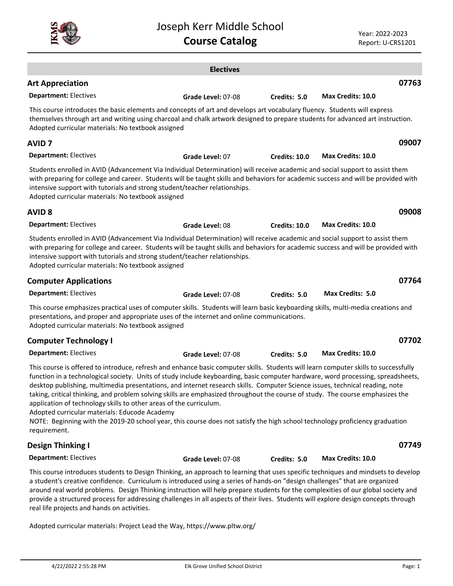|                                                                                                                                                                                                                                                                                                                                                                                                                                                                                                                                                                                                                                                                                                                                                                                                                  | <b>Electives</b>   |                      |                          |
|------------------------------------------------------------------------------------------------------------------------------------------------------------------------------------------------------------------------------------------------------------------------------------------------------------------------------------------------------------------------------------------------------------------------------------------------------------------------------------------------------------------------------------------------------------------------------------------------------------------------------------------------------------------------------------------------------------------------------------------------------------------------------------------------------------------|--------------------|----------------------|--------------------------|
| <b>Art Appreciation</b>                                                                                                                                                                                                                                                                                                                                                                                                                                                                                                                                                                                                                                                                                                                                                                                          |                    |                      | 07763                    |
| <b>Department: Electives</b>                                                                                                                                                                                                                                                                                                                                                                                                                                                                                                                                                                                                                                                                                                                                                                                     | Grade Level: 07-08 | Credits: 5.0         | <b>Max Credits: 10.0</b> |
| This course introduces the basic elements and concepts of art and develops art vocabulary fluency. Students will express<br>themselves through art and writing using charcoal and chalk artwork designed to prepare students for advanced art instruction.<br>Adopted curricular materials: No textbook assigned                                                                                                                                                                                                                                                                                                                                                                                                                                                                                                 |                    |                      |                          |
| <b>AVID 7</b>                                                                                                                                                                                                                                                                                                                                                                                                                                                                                                                                                                                                                                                                                                                                                                                                    |                    |                      | 09007                    |
| <b>Department: Electives</b>                                                                                                                                                                                                                                                                                                                                                                                                                                                                                                                                                                                                                                                                                                                                                                                     | Grade Level: 07    | <b>Credits: 10.0</b> | Max Credits: 10.0        |
| Students enrolled in AVID (Advancement Via Individual Determination) will receive academic and social support to assist them<br>with preparing for college and career. Students will be taught skills and behaviors for academic success and will be provided with<br>intensive support with tutorials and strong student/teacher relationships.<br>Adopted curricular materials: No textbook assigned                                                                                                                                                                                                                                                                                                                                                                                                           |                    |                      |                          |
| <b>AVID 8</b>                                                                                                                                                                                                                                                                                                                                                                                                                                                                                                                                                                                                                                                                                                                                                                                                    |                    |                      | 09008                    |
| <b>Department: Electives</b>                                                                                                                                                                                                                                                                                                                                                                                                                                                                                                                                                                                                                                                                                                                                                                                     | Grade Level: 08    | <b>Credits: 10.0</b> | <b>Max Credits: 10.0</b> |
| Students enrolled in AVID (Advancement Via Individual Determination) will receive academic and social support to assist them<br>with preparing for college and career. Students will be taught skills and behaviors for academic success and will be provided with<br>intensive support with tutorials and strong student/teacher relationships.<br>Adopted curricular materials: No textbook assigned                                                                                                                                                                                                                                                                                                                                                                                                           |                    |                      |                          |
| <b>Computer Applications</b>                                                                                                                                                                                                                                                                                                                                                                                                                                                                                                                                                                                                                                                                                                                                                                                     |                    |                      | 07764                    |
| <b>Department: Electives</b>                                                                                                                                                                                                                                                                                                                                                                                                                                                                                                                                                                                                                                                                                                                                                                                     | Grade Level: 07-08 | Credits: 5.0         | <b>Max Credits: 5.0</b>  |
| This course emphasizes practical uses of computer skills. Students will learn basic keyboarding skills, multi-media creations and<br>presentations, and proper and appropriate uses of the internet and online communications.<br>Adopted curricular materials: No textbook assigned                                                                                                                                                                                                                                                                                                                                                                                                                                                                                                                             |                    |                      |                          |
| <b>Computer Technology I</b>                                                                                                                                                                                                                                                                                                                                                                                                                                                                                                                                                                                                                                                                                                                                                                                     |                    |                      | 07702                    |
| <b>Department: Electives</b>                                                                                                                                                                                                                                                                                                                                                                                                                                                                                                                                                                                                                                                                                                                                                                                     | Grade Level: 07-08 | Credits: 5.0         | Max Credits: 10.0        |
| This course is offered to introduce, refresh and enhance basic computer skills. Students will learn computer skills to successfully<br>function in a technological society. Units of study include keyboarding, basic computer hardware, word processing, spreadsheets,<br>desktop publishing, multimedia presentations, and internet research skills. Computer Science issues, technical reading, note<br>taking, critical thinking, and problem solving skills are emphasized throughout the course of study. The course emphasizes the<br>application of technology skills to other areas of the curriculum.<br>Adopted curricular materials: Educode Academy<br>NOTE: Beginning with the 2019-20 school year, this course does not satisfy the high school technology proficiency graduation<br>requirement. |                    |                      |                          |
| <b>Design Thinking I</b>                                                                                                                                                                                                                                                                                                                                                                                                                                                                                                                                                                                                                                                                                                                                                                                         |                    |                      | 07749                    |
| <b>Department: Electives</b>                                                                                                                                                                                                                                                                                                                                                                                                                                                                                                                                                                                                                                                                                                                                                                                     | Grade Level: 07-08 | Credits: 5.0         | Max Credits: 10.0        |
| This course introduces students to Design Thinking, an approach to learning that uses specific techniques and mindsets to develop<br>a student's creative confidence. Curriculum is introduced using a series of hands-on "design challenges" that are organized<br>around real world problems. Design Thinking instruction will help prepare students for the complexities of our global society and                                                                                                                                                                                                                                                                                                                                                                                                            |                    |                      |                          |

Joseph Kerr Middle School **Course Catalog**

around real world problems. Design Thinking instruction will help prepare students for the complexities of our global society and provide a structured process for addressing challenges in all aspects of their lives. Students will explore design concepts through real life projects and hands on activities.

Adopted curricular materials: Project Lead the Way, https://www.pltw.org/

Year: 2022-2023 Report: U-CRS1201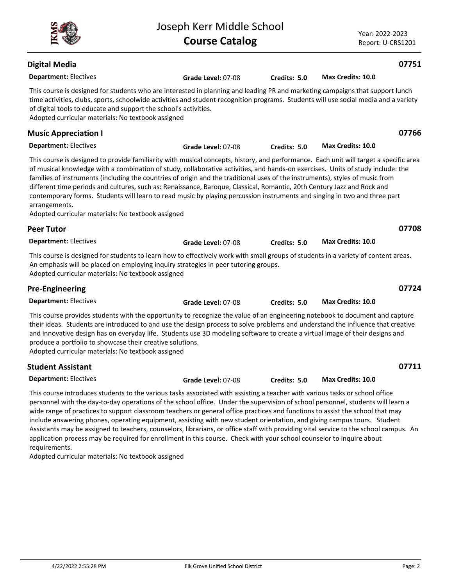| <b>Digital Media</b>                                                                                                                                                                                                                                                                                                                                                                                                                                                                                                                                                                                                                                                                                                                                                                                          |                    |              |                   | 07751 |
|---------------------------------------------------------------------------------------------------------------------------------------------------------------------------------------------------------------------------------------------------------------------------------------------------------------------------------------------------------------------------------------------------------------------------------------------------------------------------------------------------------------------------------------------------------------------------------------------------------------------------------------------------------------------------------------------------------------------------------------------------------------------------------------------------------------|--------------------|--------------|-------------------|-------|
| <b>Department: Electives</b>                                                                                                                                                                                                                                                                                                                                                                                                                                                                                                                                                                                                                                                                                                                                                                                  | Grade Level: 07-08 | Credits: 5.0 | Max Credits: 10.0 |       |
| This course is designed for students who are interested in planning and leading PR and marketing campaigns that support lunch<br>time activities, clubs, sports, schoolwide activities and student recognition programs. Students will use social media and a variety<br>of digital tools to educate and support the school's activities.<br>Adopted curricular materials: No textbook assigned                                                                                                                                                                                                                                                                                                                                                                                                               |                    |              |                   |       |
| <b>Music Appreciation I</b>                                                                                                                                                                                                                                                                                                                                                                                                                                                                                                                                                                                                                                                                                                                                                                                   |                    |              |                   | 07766 |
| <b>Department: Electives</b>                                                                                                                                                                                                                                                                                                                                                                                                                                                                                                                                                                                                                                                                                                                                                                                  | Grade Level: 07-08 | Credits: 5.0 | Max Credits: 10.0 |       |
| This course is designed to provide familiarity with musical concepts, history, and performance. Each unit will target a specific area<br>of musical knowledge with a combination of study, collaborative activities, and hands-on exercises. Units of study include: the<br>families of instruments (including the countries of origin and the traditional uses of the instruments), styles of music from<br>different time periods and cultures, such as: Renaissance, Baroque, Classical, Romantic, 20th Century Jazz and Rock and<br>contemporary forms. Students will learn to read music by playing percussion instruments and singing in two and three part<br>arrangements.<br>Adopted curricular materials: No textbook assigned                                                                      |                    |              |                   |       |
| <b>Peer Tutor</b>                                                                                                                                                                                                                                                                                                                                                                                                                                                                                                                                                                                                                                                                                                                                                                                             |                    |              |                   | 07708 |
| <b>Department: Electives</b>                                                                                                                                                                                                                                                                                                                                                                                                                                                                                                                                                                                                                                                                                                                                                                                  | Grade Level: 07-08 | Credits: 5.0 | Max Credits: 10.0 |       |
| This course is designed for students to learn how to effectively work with small groups of students in a variety of content areas.<br>An emphasis will be placed on employing inquiry strategies in peer tutoring groups.<br>Adopted curricular materials: No textbook assigned                                                                                                                                                                                                                                                                                                                                                                                                                                                                                                                               |                    |              |                   |       |
| <b>Pre-Engineering</b>                                                                                                                                                                                                                                                                                                                                                                                                                                                                                                                                                                                                                                                                                                                                                                                        |                    |              |                   | 07724 |
| <b>Department: Electives</b>                                                                                                                                                                                                                                                                                                                                                                                                                                                                                                                                                                                                                                                                                                                                                                                  | Grade Level: 07-08 | Credits: 5.0 | Max Credits: 10.0 |       |
| This course provides students with the opportunity to recognize the value of an engineering notebook to document and capture<br>their ideas. Students are introduced to and use the design process to solve problems and understand the influence that creative<br>and innovative design has on everyday life. Students use 3D modeling software to create a virtual image of their designs and<br>produce a portfolio to showcase their creative solutions.<br>Adopted curricular materials: No textbook assigned                                                                                                                                                                                                                                                                                            |                    |              |                   |       |
| <b>Student Assistant</b>                                                                                                                                                                                                                                                                                                                                                                                                                                                                                                                                                                                                                                                                                                                                                                                      |                    |              |                   | 07711 |
| <b>Department: Electives</b>                                                                                                                                                                                                                                                                                                                                                                                                                                                                                                                                                                                                                                                                                                                                                                                  | Grade Level: 07-08 | Credits: 5.0 | Max Credits: 10.0 |       |
| This course introduces students to the various tasks associated with assisting a teacher with various tasks or school office<br>personnel with the day-to-day operations of the school office. Under the supervision of school personnel, students will learn a<br>wide range of practices to support classroom teachers or general office practices and functions to assist the school that may<br>include answering phones, operating equipment, assisting with new student orientation, and giving campus tours. Student<br>Assistants may be assigned to teachers, counselors, librarians, or office staff with providing vital service to the school campus. An<br>application process may be required for enrollment in this course. Check with your school counselor to inquire about<br>requirements. |                    |              |                   |       |

Adopted curricular materials: No textbook assigned



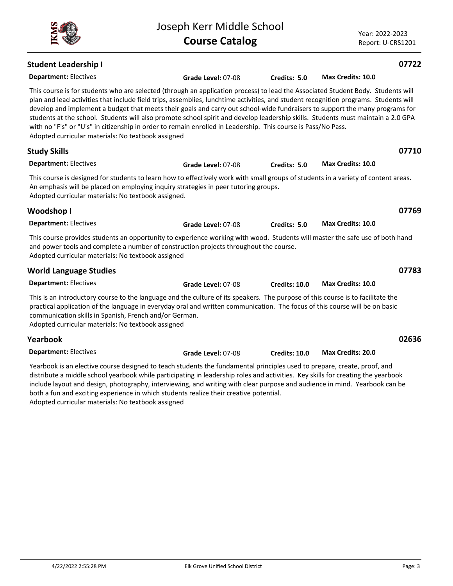Joseph Kerr Middle School

**Department:** Electives

Yearbook is an elective course designed to teach students the fundamental principles used to prepare, create, proof, and distribute a middle school yearbook while participating in leadership roles and activities. Key skills for creating the yearbook include layout and design, photography, interviewing, and writing with clear purpose and audience in mind. Yearbook can be both a fun and exciting experience in which students realize their creative potential. Adopted curricular materials: No textbook assigned

**Grade Level:** 07-08 **Credits: 10.0 Max Credits: 20.0**

Year: 2022-2023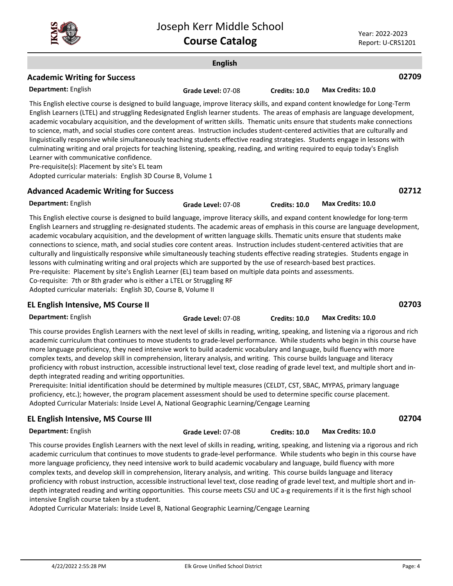

#### **English Department:** English **02709** This English elective course is designed to build language, improve literacy skills, and expand content knowledge for Long-Term English Learners (LTEL) and struggling Redesignated English learner students. The areas of emphasis are language development, academic vocabulary acquisition, and the development of written skills. Thematic units ensure that students make connections to science, math, and social studies core content areas. Instruction includes student-centered activities that are culturally and linguistically responsive while simultaneously teaching students effective reading strategies. Students engage in lessons with culminating writing and oral projects for teaching listening, speaking, reading, and writing required to equip today's English Learner with communicative confidence. Pre-requisite(s): Placement by site's EL team Adopted curricular materials: English 3D Course B, Volume 1 **Academic Writing for Success Grade Level:** 07-08 **Credits: 10.0 Max Credits: 10.0 Department:** English **02712** This English elective course is designed to build language, improve literacy skills, and expand content knowledge for long-term English Learners and struggling re-designated students. The academic areas of emphasis in this course are language development, academic vocabulary acquisition, and the development of written language skills. Thematic units ensure that students make connections to science, math, and social studies core content areas. Instruction includes student-centered activities that are culturally and linguistically responsive while simultaneously teaching students effective reading strategies. Students engage in lessons with culminating writing and oral projects which are supported by the use of research-based best practices. Pre-requisite: Placement by site's English Learner (EL) team based on multiple data points and assessments. **Advanced Academic Writing for Success Grade Level:** 07-08 **Credits: 10.0 Max Credits: 10.0**

Co-requisite: 7th or 8th grader who is either a LTEL or Struggling RF Adopted curricular materials: English 3D, Course B, Volume II

## **EL English Intensive, MS Course II**

**02703**

**Department:** English

This course provides English Learners with the next level of skills in reading, writing, speaking, and listening via a rigorous and rich academic curriculum that continues to move students to grade-level performance. While students who begin in this course have more language proficiency, they need intensive work to build academic vocabulary and language, build fluency with more complex texts, and develop skill in comprehension, literary analysis, and writing. This course builds language and literacy proficiency with robust instruction, accessible instructional level text, close reading of grade level text, and multiple short and indepth integrated reading and writing opportunities.

Prerequisite: Initial identification should be determined by multiple measures (CELDT, CST, SBAC, MYPAS, primary language proficiency, etc.); however, the program placement assessment should be used to determine specific course placement. Adopted Curricular Materials: Inside Level A, National Geographic Learning/Cengage Learning

## **EL English Intensive, MS Course III**

**Department:** English

**Grade Level:** 07-08 **Credits: 10.0 Max Credits: 10.0**

**Grade Level:** 07-08 **Credits: 10.0 Max Credits: 10.0**

**02704**

This course provides English Learners with the next level of skills in reading, writing, speaking, and listening via a rigorous and rich academic curriculum that continues to move students to grade-level performance. While students who begin in this course have more language proficiency, they need intensive work to build academic vocabulary and language, build fluency with more complex texts, and develop skill in comprehension, literary analysis, and writing. This course builds language and literacy proficiency with robust instruction, accessible instructional level text, close reading of grade level text, and multiple short and in-

depth integrated reading and writing opportunities. This course meets CSU and UC a-g requirements if it is the first high school intensive English course taken by a student.

Adopted Curricular Materials: Inside Level B, National Geographic Learning/Cengage Learning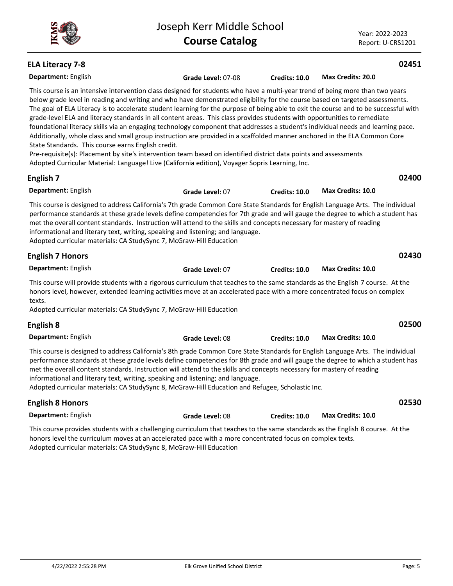Year: 2022-2023 Report: U-CRS1201

# **ELA Literacy 7-8**

| <b>ELA Literacy 7-8</b>                                                                                                                                                                                                                                                                                                                                                                                                                                                                                                                                                                                                                                                                                                                                                                                                                                                                                                                                                                                                                                                           |                    |               |                   | 02451 |
|-----------------------------------------------------------------------------------------------------------------------------------------------------------------------------------------------------------------------------------------------------------------------------------------------------------------------------------------------------------------------------------------------------------------------------------------------------------------------------------------------------------------------------------------------------------------------------------------------------------------------------------------------------------------------------------------------------------------------------------------------------------------------------------------------------------------------------------------------------------------------------------------------------------------------------------------------------------------------------------------------------------------------------------------------------------------------------------|--------------------|---------------|-------------------|-------|
| Department: English                                                                                                                                                                                                                                                                                                                                                                                                                                                                                                                                                                                                                                                                                                                                                                                                                                                                                                                                                                                                                                                               | Grade Level: 07-08 | Credits: 10.0 | Max Credits: 20.0 |       |
| This course is an intensive intervention class designed for students who have a multi-year trend of being more than two years<br>below grade level in reading and writing and who have demonstrated eligibility for the course based on targeted assessments.<br>The goal of ELA Literacy is to accelerate student learning for the purpose of being able to exit the course and to be successful with<br>grade-level ELA and literacy standards in all content areas. This class provides students with opportunities to remediate<br>foundational literacy skills via an engaging technology component that addresses a student's individual needs and learning pace.<br>Additionally, whole class and small group instruction are provided in a scaffolded manner anchored in the ELA Common Core<br>State Standards. This course earns English credit.<br>Pre-requisite(s): Placement by site's intervention team based on identified district data points and assessments<br>Adopted Curricular Material: Language! Live (California edition), Voyager Sopris Learning, Inc. |                    |               |                   |       |
| English 7                                                                                                                                                                                                                                                                                                                                                                                                                                                                                                                                                                                                                                                                                                                                                                                                                                                                                                                                                                                                                                                                         |                    |               |                   | 02400 |
| Department: English                                                                                                                                                                                                                                                                                                                                                                                                                                                                                                                                                                                                                                                                                                                                                                                                                                                                                                                                                                                                                                                               | Grade Level: 07    | Credits: 10.0 | Max Credits: 10.0 |       |
| This course is designed to address California's 7th grade Common Core State Standards for English Language Arts. The individual<br>performance standards at these grade levels define competencies for 7th grade and will gauge the degree to which a student has<br>met the overall content standards. Instruction will attend to the skills and concepts necessary for mastery of reading<br>informational and literary text, writing, speaking and listening; and language.<br>Adopted curricular materials: CA StudySync 7, McGraw-Hill Education                                                                                                                                                                                                                                                                                                                                                                                                                                                                                                                             |                    |               |                   |       |
| <b>English 7 Honors</b>                                                                                                                                                                                                                                                                                                                                                                                                                                                                                                                                                                                                                                                                                                                                                                                                                                                                                                                                                                                                                                                           |                    |               |                   | 02430 |
| Department: English                                                                                                                                                                                                                                                                                                                                                                                                                                                                                                                                                                                                                                                                                                                                                                                                                                                                                                                                                                                                                                                               | Grade Level: 07    | Credits: 10.0 | Max Credits: 10.0 |       |
| This course will provide students with a rigorous curriculum that teaches to the same standards as the English 7 course. At the<br>honors level, however, extended learning activities move at an accelerated pace with a more concentrated focus on complex<br>texts.<br>Adopted curricular materials: CA StudySync 7, McGraw-Hill Education                                                                                                                                                                                                                                                                                                                                                                                                                                                                                                                                                                                                                                                                                                                                     |                    |               |                   |       |
| English 8                                                                                                                                                                                                                                                                                                                                                                                                                                                                                                                                                                                                                                                                                                                                                                                                                                                                                                                                                                                                                                                                         |                    |               |                   | 02500 |
| Department: English                                                                                                                                                                                                                                                                                                                                                                                                                                                                                                                                                                                                                                                                                                                                                                                                                                                                                                                                                                                                                                                               | Grade Level: 08    | Credits: 10.0 | Max Credits: 10.0 |       |
| This course is designed to address California's 8th grade Common Core State Standards for English Language Arts. The individual<br>performance standards at these grade levels define competencies for 8th grade and will gauge the degree to which a student has<br>met the overall content standards. Instruction will attend to the skills and concepts necessary for mastery of reading<br>informational and literary text, writing, speaking and listening; and language.<br>Adopted curricular materials: CA StudySync 8, McGraw-Hill Education and Refugee, Scholastic Inc.                                                                                                                                                                                                                                                                                                                                                                                                                                                                                                |                    |               |                   |       |
| <b>English 8 Honors</b>                                                                                                                                                                                                                                                                                                                                                                                                                                                                                                                                                                                                                                                                                                                                                                                                                                                                                                                                                                                                                                                           |                    |               |                   | 02530 |
| Department: English                                                                                                                                                                                                                                                                                                                                                                                                                                                                                                                                                                                                                                                                                                                                                                                                                                                                                                                                                                                                                                                               | Grade Level: 08    | Credits: 10.0 | Max Credits: 10.0 |       |
| This course provides students with a challenging curriculum that teaches to the same standards as the English 8 course. At the<br>honors level the curriculum moves at an accelerated pace with a more concentrated focus on complex texts.<br>Adopted curricular materials: CA StudySync 8, McGraw-Hill Education                                                                                                                                                                                                                                                                                                                                                                                                                                                                                                                                                                                                                                                                                                                                                                |                    |               |                   |       |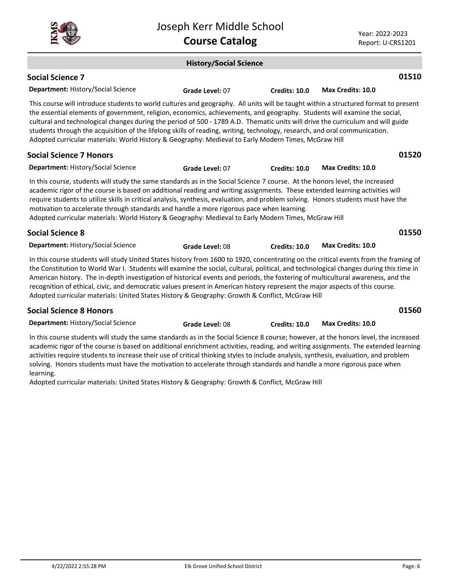|                                                                                                                                                                                                                                                                                                                                                                                                                                                                                                                                                                                                                                                               | Joseph Kerr Middle School<br><b>Course Catalog</b> |                      |                          | Year: 2022-2023<br>Report: U-CRS1201 |
|---------------------------------------------------------------------------------------------------------------------------------------------------------------------------------------------------------------------------------------------------------------------------------------------------------------------------------------------------------------------------------------------------------------------------------------------------------------------------------------------------------------------------------------------------------------------------------------------------------------------------------------------------------------|----------------------------------------------------|----------------------|--------------------------|--------------------------------------|
|                                                                                                                                                                                                                                                                                                                                                                                                                                                                                                                                                                                                                                                               | <b>History/Social Science</b>                      |                      |                          |                                      |
| <b>Social Science 7</b>                                                                                                                                                                                                                                                                                                                                                                                                                                                                                                                                                                                                                                       |                                                    |                      |                          | 01510                                |
| Department: History/Social Science                                                                                                                                                                                                                                                                                                                                                                                                                                                                                                                                                                                                                            | Grade Level: 07                                    | Credits: 10.0        | <b>Max Credits: 10.0</b> |                                      |
| This course will introduce students to world cultures and geography. All units will be taught within a structured format to present<br>the essential elements of government, religion, economics, achievements, and geography. Students will examine the social,<br>cultural and technological changes during the period of 500 - 1789 A.D. Thematic units will drive the curriculum and will guide<br>students through the acquisition of the lifelong skills of reading, writing, technology, research, and oral communication.<br>Adopted curricular materials: World History & Geography: Medieval to Early Modern Times, McGraw Hill                     |                                                    |                      |                          |                                      |
| <b>Social Science 7 Honors</b>                                                                                                                                                                                                                                                                                                                                                                                                                                                                                                                                                                                                                                |                                                    |                      |                          | 01520                                |
| Department: History/Social Science                                                                                                                                                                                                                                                                                                                                                                                                                                                                                                                                                                                                                            | Grade Level: 07                                    | <b>Credits: 10.0</b> | <b>Max Credits: 10.0</b> |                                      |
| In this course, students will study the same standards as in the Social Science 7 course. At the honors level, the increased<br>academic rigor of the course is based on additional reading and writing assignments. These extended learning activities will<br>require students to utilize skills in critical analysis, synthesis, evaluation, and problem solving. Honors students must have the<br>motivation to accelerate through standards and handle a more rigorous pace when learning.<br>Adopted curricular materials: World History & Geography: Medieval to Early Modern Times, McGraw Hill                                                       |                                                    |                      |                          |                                      |
| <b>Social Science 8</b>                                                                                                                                                                                                                                                                                                                                                                                                                                                                                                                                                                                                                                       |                                                    |                      |                          | 01550                                |
| <b>Department: History/Social Science</b>                                                                                                                                                                                                                                                                                                                                                                                                                                                                                                                                                                                                                     | Grade Level: 08                                    | <b>Credits: 10.0</b> | <b>Max Credits: 10.0</b> |                                      |
| In this course students will study United States history from 1600 to 1920, concentrating on the critical events from the framing of<br>the Constitution to World War I. Students will examine the social, cultural, political, and technological changes during this time in<br>American history. The in-depth investigation of historical events and periods, the fostering of multicultural awareness, and the<br>recognition of ethical, civic, and democratic values present in American history represent the major aspects of this course.<br>Adopted curricular materials: United States History & Geography: Growth & Conflict, McGraw Hill          |                                                    |                      |                          |                                      |
| <b>Social Science 8 Honors</b>                                                                                                                                                                                                                                                                                                                                                                                                                                                                                                                                                                                                                                |                                                    |                      |                          | 01560                                |
| Department: History/Social Science                                                                                                                                                                                                                                                                                                                                                                                                                                                                                                                                                                                                                            | Grade Level: 08                                    | <b>Credits: 10.0</b> | Max Credits: 10.0        |                                      |
| In this course students will study the same standards as in the Social Science 8 course; however, at the honors level, the increased<br>academic rigor of the course is based on additional enrichment activities, reading, and writing assignments. The extended learning<br>activities require students to increase their use of critical thinking styles to include analysis, synthesis, evaluation, and problem<br>solving. Honors students must have the motivation to accelerate through standards and handle a more rigorous pace when<br>learning.<br>Adopted curricular materials: United States History & Geography: Growth & Conflict, McGraw Hill |                                                    |                      |                          |                                      |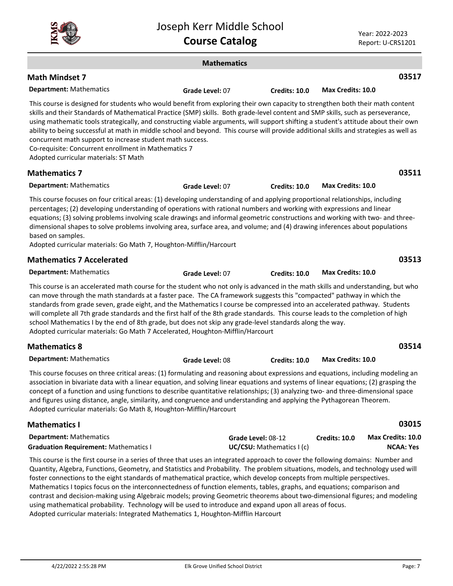|--|

|                                                                                                                                                                                                                                                                                                                                                                                                                                                                                                                                                                                                                                                                                                                          | <b>Mathematics</b> |                                                 |                          |                                       |
|--------------------------------------------------------------------------------------------------------------------------------------------------------------------------------------------------------------------------------------------------------------------------------------------------------------------------------------------------------------------------------------------------------------------------------------------------------------------------------------------------------------------------------------------------------------------------------------------------------------------------------------------------------------------------------------------------------------------------|--------------------|-------------------------------------------------|--------------------------|---------------------------------------|
| <b>Math Mindset 7</b>                                                                                                                                                                                                                                                                                                                                                                                                                                                                                                                                                                                                                                                                                                    |                    |                                                 |                          | 03517                                 |
| <b>Department: Mathematics</b>                                                                                                                                                                                                                                                                                                                                                                                                                                                                                                                                                                                                                                                                                           | Grade Level: 07    | Credits: 10.0                                   | <b>Max Credits: 10.0</b> |                                       |
| This course is designed for students who would benefit from exploring their own capacity to strengthen both their math content<br>skills and their Standards of Mathematical Practice (SMP) skills. Both grade-level content and SMP skills, such as perseverance,<br>using mathematic tools strategically, and constructing viable arguments, will support shifting a student's attitude about their own<br>ability to being successful at math in middle school and beyond. This course will provide additional skills and strategies as well as<br>concurrent math support to increase student math success.<br>Co-requisite: Concurrent enrollment in Mathematics 7<br>Adopted curricular materials: ST Math         |                    |                                                 |                          |                                       |
| <b>Mathematics 7</b>                                                                                                                                                                                                                                                                                                                                                                                                                                                                                                                                                                                                                                                                                                     |                    |                                                 |                          | 03511                                 |
| <b>Department: Mathematics</b>                                                                                                                                                                                                                                                                                                                                                                                                                                                                                                                                                                                                                                                                                           | Grade Level: 07    | Credits: 10.0                                   | Max Credits: 10.0        |                                       |
| This course focuses on four critical areas: (1) developing understanding of and applying proportional relationships, including<br>percentages; (2) developing understanding of operations with rational numbers and working with expressions and linear<br>equations; (3) solving problems involving scale drawings and informal geometric constructions and working with two- and three-<br>dimensional shapes to solve problems involving area, surface area, and volume; and (4) drawing inferences about populations<br>based on samples.<br>Adopted curricular materials: Go Math 7, Houghton-Mifflin/Harcourt                                                                                                      |                    |                                                 |                          |                                       |
| <b>Mathematics 7 Accelerated</b>                                                                                                                                                                                                                                                                                                                                                                                                                                                                                                                                                                                                                                                                                         |                    |                                                 |                          | 03513                                 |
| <b>Department: Mathematics</b>                                                                                                                                                                                                                                                                                                                                                                                                                                                                                                                                                                                                                                                                                           | Grade Level: 07    | <b>Credits: 10.0</b>                            | Max Credits: 10.0        |                                       |
| This course is an accelerated math course for the student who not only is advanced in the math skills and understanding, but who<br>can move through the math standards at a faster pace. The CA framework suggests this "compacted" pathway in which the<br>standards from grade seven, grade eight, and the Mathematics I course be compressed into an accelerated pathway. Students<br>will complete all 7th grade standards and the first half of the 8th grade standards. This course leads to the completion of high<br>school Mathematics I by the end of 8th grade, but does not skip any grade-level standards along the way.<br>Adopted curricular materials: Go Math 7 Accelerated, Houghton-Mifflin/Harcourt |                    |                                                 |                          |                                       |
| <b>Mathematics 8</b>                                                                                                                                                                                                                                                                                                                                                                                                                                                                                                                                                                                                                                                                                                     |                    |                                                 |                          | 03514                                 |
| <b>Department: Mathematics</b>                                                                                                                                                                                                                                                                                                                                                                                                                                                                                                                                                                                                                                                                                           | Grade Level: 08    | Credits: 10.0                                   | Max Credits: 10.0        |                                       |
| This course focuses on three critical areas: (1) formulating and reasoning about expressions and equations, including modeling an<br>association in bivariate data with a linear equation, and solving linear equations and systems of linear equations; (2) grasping the<br>concept of a function and using functions to describe quantitative relationships; (3) analyzing two- and three-dimensional space<br>and figures using distance, angle, similarity, and congruence and understanding and applying the Pythagorean Theorem.<br>Adopted curricular materials: Go Math 8, Houghton-Mifflin/Harcourt                                                                                                             |                    |                                                 |                          |                                       |
| <b>Mathematics I</b>                                                                                                                                                                                                                                                                                                                                                                                                                                                                                                                                                                                                                                                                                                     |                    |                                                 |                          | 03015                                 |
| <b>Department: Mathematics</b><br><b>Graduation Requirement: Mathematics I</b>                                                                                                                                                                                                                                                                                                                                                                                                                                                                                                                                                                                                                                           |                    | Grade Level: 08-12<br>UC/CSU: Mathematics I (c) | Credits: 10.0            | Max Credits: 10.0<br><b>NCAA: Yes</b> |
| This course is the first course in a series of three that uses an integrated approach to cover the following domains: Number and<br>Quantity, Algebra, Functions, Geometry, and Statistics and Probability. The problem situations, models, and technology used will<br>foster connections to the eight standards of mathematical practice, which develop concepts from multiple perspectives.                                                                                                                                                                                                                                                                                                                           |                    |                                                 |                          |                                       |

Mathematics I topics focus on the interconnectedness of function elements, tables, graphs, and equations; comparison and contrast and decision-making using Algebraic models; proving Geometric theorems about two-dimensional figures; and modeling using mathematical probability. Technology will be used to introduce and expand upon all areas of focus.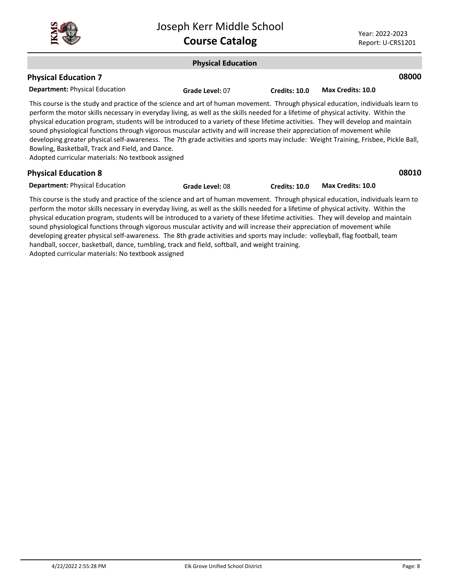

### **Physical Education Department:** Physical Education **08000** This course is the study and practice of the science and art of human movement. Through physical education, individuals learn to perform the motor skills necessary in everyday living, as well as the skills needed for a lifetime of physical activity. Within the physical education program, students will be introduced to a variety of these lifetime activities. They will develop and maintain sound physiological functions through vigorous muscular activity and will increase their appreciation of movement while developing greater physical self-awareness. The 7th grade activities and sports may include: Weight Training, Frisbee, Pickle Ball, Bowling, Basketball, Track and Field, and Dance. Adopted curricular materials: No textbook assigned **Physical Education 7 Grade Level:** 07 **Credits: 10.0 Max Credits: 10.0 Department:** Physical Education **08010** This course is the study and practice of the science and art of human movement. Through physical education, individuals learn to **Physical Education 8 Grade Level:** 08 **Credits: 10.0 Max Credits: 10.0**

perform the motor skills necessary in everyday living, as well as the skills needed for a lifetime of physical activity. Within the physical education program, students will be introduced to a variety of these lifetime activities. They will develop and maintain sound physiological functions through vigorous muscular activity and will increase their appreciation of movement while developing greater physical self-awareness. The 8th grade activities and sports may include: volleyball, flag football, team handball, soccer, basketball, dance, tumbling, track and field, softball, and weight training. Adopted curricular materials: No textbook assigned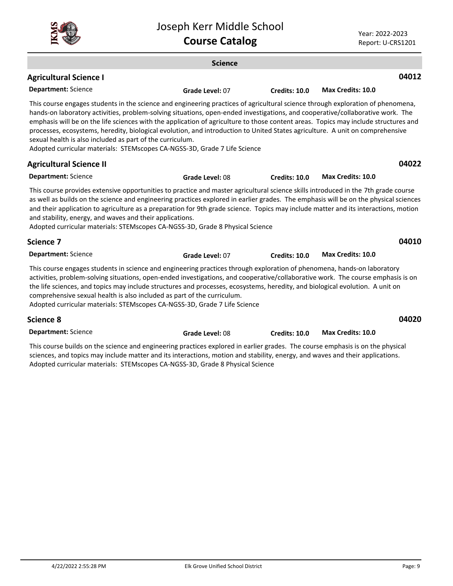

|                                                                                                                                                                                                                                                                                                                                                                                                                                                                                                                                                                                                                                                                                     | <b>Science</b>  |                      |                          |       |
|-------------------------------------------------------------------------------------------------------------------------------------------------------------------------------------------------------------------------------------------------------------------------------------------------------------------------------------------------------------------------------------------------------------------------------------------------------------------------------------------------------------------------------------------------------------------------------------------------------------------------------------------------------------------------------------|-----------------|----------------------|--------------------------|-------|
| <b>Agricultural Science I</b>                                                                                                                                                                                                                                                                                                                                                                                                                                                                                                                                                                                                                                                       |                 |                      |                          | 04012 |
| <b>Department: Science</b>                                                                                                                                                                                                                                                                                                                                                                                                                                                                                                                                                                                                                                                          | Grade Level: 07 | <b>Credits: 10.0</b> | Max Credits: 10.0        |       |
| This course engages students in the science and engineering practices of agricultural science through exploration of phenomena,<br>hands-on laboratory activities, problem-solving situations, open-ended investigations, and cooperative/collaborative work. The<br>emphasis will be on the life sciences with the application of agriculture to those content areas. Topics may include structures and<br>processes, ecosystems, heredity, biological evolution, and introduction to United States agriculture. A unit on comprehensive<br>sexual health is also included as part of the curriculum.<br>Adopted curricular materials: STEMscopes CA-NGSS-3D, Grade 7 Life Science |                 |                      |                          |       |
| <b>Agricultural Science II</b>                                                                                                                                                                                                                                                                                                                                                                                                                                                                                                                                                                                                                                                      |                 |                      |                          | 04022 |
| <b>Department: Science</b>                                                                                                                                                                                                                                                                                                                                                                                                                                                                                                                                                                                                                                                          | Grade Level: 08 | <b>Credits: 10.0</b> | Max Credits: 10.0        |       |
| This course provides extensive opportunities to practice and master agricultural science skills introduced in the 7th grade course<br>as well as builds on the science and engineering practices explored in earlier grades. The emphasis will be on the physical sciences<br>and their application to agriculture as a preparation for 9th grade science. Topics may include matter and its interactions, motion<br>and stability, energy, and waves and their applications.<br>Adopted curricular materials: STEMscopes CA-NGSS-3D, Grade 8 Physical Science                                                                                                                      |                 |                      |                          |       |
| Science 7                                                                                                                                                                                                                                                                                                                                                                                                                                                                                                                                                                                                                                                                           |                 |                      |                          | 04010 |
| <b>Department: Science</b>                                                                                                                                                                                                                                                                                                                                                                                                                                                                                                                                                                                                                                                          | Grade Level: 07 | <b>Credits: 10.0</b> | <b>Max Credits: 10.0</b> |       |
| This course engages students in science and engineering practices through exploration of phenomena, hands-on laboratory<br>activities, problem-solving situations, open-ended investigations, and cooperative/collaborative work. The course emphasis is on<br>the life sciences, and topics may include structures and processes, ecosystems, heredity, and biological evolution. A unit on<br>comprehensive sexual health is also included as part of the curriculum.<br>Adopted curricular materials: STEMscopes CA-NGSS-3D, Grade 7 Life Science                                                                                                                                |                 |                      |                          |       |
| Science 8                                                                                                                                                                                                                                                                                                                                                                                                                                                                                                                                                                                                                                                                           |                 |                      |                          | 04020 |
| <b>Department: Science</b>                                                                                                                                                                                                                                                                                                                                                                                                                                                                                                                                                                                                                                                          | Grade Level: 08 | Credits: 10.0        | <b>Max Credits: 10.0</b> |       |

This course builds on the science and engineering practices explored in earlier grades. The course emphasis is on the physical sciences, and topics may include matter and its interactions, motion and stability, energy, and waves and their applications. Adopted curricular materials: STEMscopes CA-NGSS-3D, Grade 8 Physical Science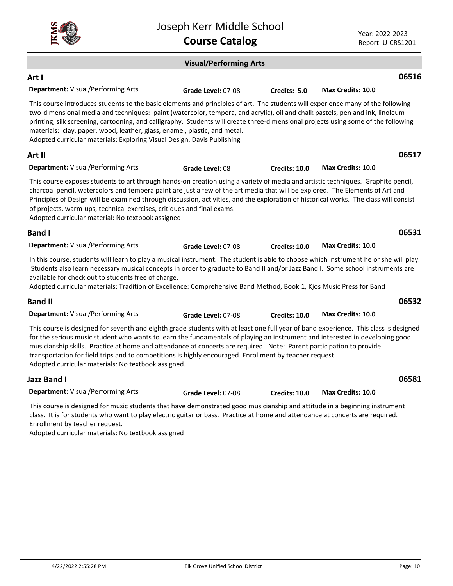|                                                                                                                                                                                                                                                                                                                                                                                                                                                                                                                                                                | SUSCRITING IT IVITUATE SCITUOT<br><b>Course Catalog</b> |                      | Year: 2022-2023<br>Report: U-CRS1201 |
|----------------------------------------------------------------------------------------------------------------------------------------------------------------------------------------------------------------------------------------------------------------------------------------------------------------------------------------------------------------------------------------------------------------------------------------------------------------------------------------------------------------------------------------------------------------|---------------------------------------------------------|----------------------|--------------------------------------|
|                                                                                                                                                                                                                                                                                                                                                                                                                                                                                                                                                                | <b>Visual/Performing Arts</b>                           |                      |                                      |
| Art I                                                                                                                                                                                                                                                                                                                                                                                                                                                                                                                                                          |                                                         |                      | 06516                                |
| Department: Visual/Performing Arts                                                                                                                                                                                                                                                                                                                                                                                                                                                                                                                             | Grade Level: 07-08                                      | Credits: 5.0         | Max Credits: 10.0                    |
| This course introduces students to the basic elements and principles of art. The students will experience many of the following<br>two-dimensional media and techniques: paint (watercolor, tempera, and acrylic), oil and chalk pastels, pen and ink, linoleum<br>printing, silk screening, cartooning, and calligraphy. Students will create three-dimensional projects using some of the following<br>materials: clay, paper, wood, leather, glass, enamel, plastic, and metal.<br>Adopted curricular materials: Exploring Visual Design, Davis Publishing  |                                                         |                      |                                      |
| Art II                                                                                                                                                                                                                                                                                                                                                                                                                                                                                                                                                         |                                                         |                      | 06517                                |
| Department: Visual/Performing Arts                                                                                                                                                                                                                                                                                                                                                                                                                                                                                                                             | Grade Level: 08                                         | <b>Credits: 10.0</b> | Max Credits: 10.0                    |
| This course exposes students to art through hands-on creation using a variety of media and artistic techniques. Graphite pencil,<br>charcoal pencil, watercolors and tempera paint are just a few of the art media that will be explored. The Elements of Art and<br>Principles of Design will be examined through discussion, activities, and the exploration of historical works. The class will consist<br>of projects, warm-ups, technical exercises, critiques and final exams.<br>Adopted curricular material: No textbook assigned                      |                                                         |                      |                                      |
| <b>Band I</b>                                                                                                                                                                                                                                                                                                                                                                                                                                                                                                                                                  |                                                         |                      | 06531                                |
| Department: Visual/Performing Arts                                                                                                                                                                                                                                                                                                                                                                                                                                                                                                                             | Grade Level: 07-08                                      | Credits: 10.0        | Max Credits: 10.0                    |
| In this course, students will learn to play a musical instrument. The student is able to choose which instrument he or she will play.<br>Students also learn necessary musical concepts in order to graduate to Band II and/or Jazz Band I. Some school instruments are<br>available for check out to students free of charge.<br>Adopted curricular materials: Tradition of Excellence: Comprehensive Band Method, Book 1, Kjos Music Press for Band                                                                                                          |                                                         |                      |                                      |
| <b>Band II</b>                                                                                                                                                                                                                                                                                                                                                                                                                                                                                                                                                 |                                                         |                      | 06532                                |
| Department: Visual/Performing Arts                                                                                                                                                                                                                                                                                                                                                                                                                                                                                                                             | Grade Level: 07-08                                      | Credits: 10.0        | Max Credits: 10.0                    |
| This course is designed for seventh and eighth grade students with at least one full year of band experience. This class is designed<br>for the serious music student who wants to learn the fundamentals of playing an instrument and interested in developing good<br>musicianship skills. Practice at home and attendance at concerts are required. Note: Parent participation to provide<br>transportation for field trips and to competitions is highly encouraged. Enrollment by teacher request.<br>Adopted curricular materials: No textbook assigned. |                                                         |                      |                                      |
| Jazz Band I                                                                                                                                                                                                                                                                                                                                                                                                                                                                                                                                                    |                                                         |                      | 06581                                |
| Department: Visual/Performing Arts                                                                                                                                                                                                                                                                                                                                                                                                                                                                                                                             | Grade Level: 07-08                                      | <b>Credits: 10.0</b> | <b>Max Credits: 10.0</b>             |
| This course is designed for music students that have demonstrated good musicianship and attitude in a beginning instrument<br>class. It is for students who want to play electric guitar or bass. Practice at home and attendance at concerts are required.                                                                                                                                                                                                                                                                                                    |                                                         |                      |                                      |

Joseph Kerr Middle School

Enrollment by teacher request.

ŠĴ

Adopted curricular materials: No textbook assigned